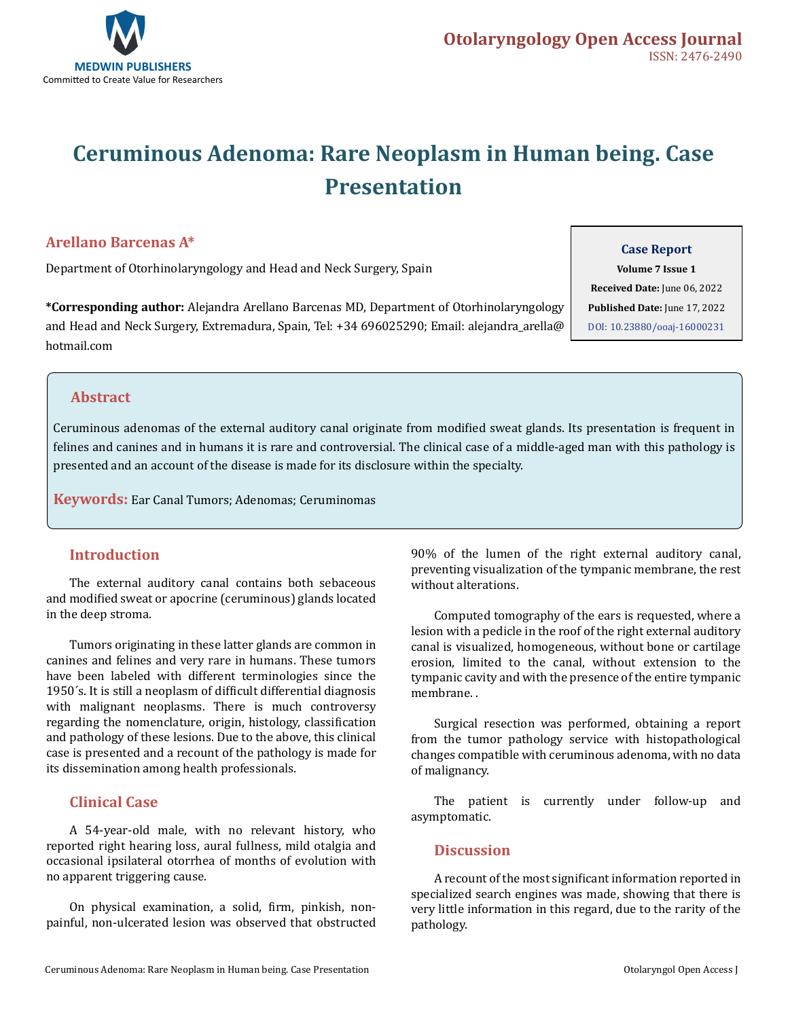

# **Ceruminous Adenoma: Rare Neoplasm in Human being. Case Presentation**

## **Arellano Barcenas A\***

Department of Otorhinolaryngology and Head and Neck Surgery, Spain

**\*Corresponding author:** Alejandra Arellano Barcenas MD, Department of Otorhinolaryngology and Head and Neck Surgery, Extremadura, Spain, Tel: +34 696025290; Email: alejandra\_arella@ hotmail.com

#### **Case Report**

**Volume 7 Issue 1 Received Date:** June 06, 2022 **Published Date:** June 17, 2022 [DOI: 10.23880/ooaj-16000231](https://doi.org/10.23880/ooaj-16000231)

### **Abstract**

Ceruminous adenomas of the external auditory canal originate from modified sweat glands. Its presentation is frequent in felines and canines and in humans it is rare and controversial. The clinical case of a middle-aged man with this pathology is presented and an account of the disease is made for its disclosure within the specialty.

**Keywords:** Ear Canal Tumors; Adenomas; Ceruminomas

### **Introduction**

The external auditory canal contains both sebaceous and modified sweat or apocrine (ceruminous) glands located in the deep stroma.

Tumors originating in these latter glands are common in canines and felines and very rare in humans. These tumors have been labeled with different terminologies since the 1950´s. It is still a neoplasm of difficult differential diagnosis with malignant neoplasms. There is much controversy regarding the nomenclature, origin, histology, classification and pathology of these lesions. Due to the above, this clinical case is presented and a recount of the pathology is made for its dissemination among health professionals.

## **Clinical Case**

A 54-year-old male, with no relevant history, who reported right hearing loss, aural fullness, mild otalgia and occasional ipsilateral otorrhea of months of evolution with no apparent triggering cause.

On physical examination, a solid, firm, pinkish, nonpainful, non-ulcerated lesion was observed that obstructed 90% of the lumen of the right external auditory canal, preventing visualization of the tympanic membrane, the rest without alterations.

Computed tomography of the ears is requested, where a lesion with a pedicle in the roof of the right external auditory canal is visualized, homogeneous, without bone or cartilage erosion, limited to the canal, without extension to the tympanic cavity and with the presence of the entire tympanic membrane. .

Surgical resection was performed, obtaining a report from the tumor pathology service with histopathological changes compatible with ceruminous adenoma, with no data of malignancy.

The patient is currently under follow-up and asymptomatic.

### **Discussion**

A recount of the most significant information reported in specialized search engines was made, showing that there is very little information in this regard, due to the rarity of the pathology.